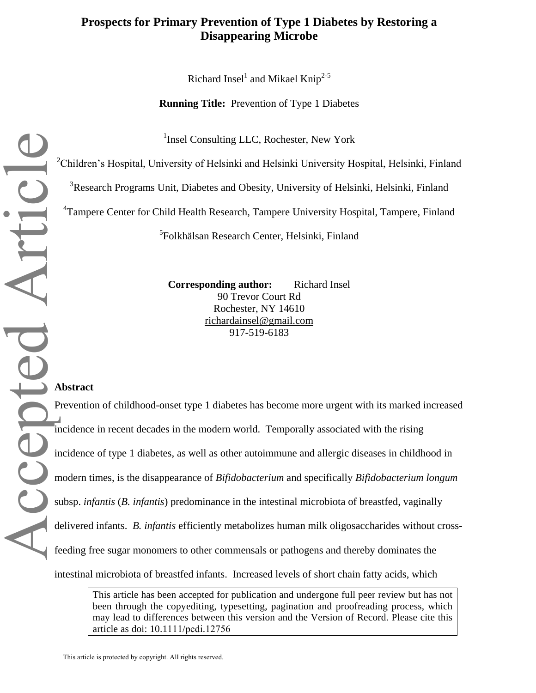## **Prospects for Primary Prevention of Type 1 Diabetes by Restoring a Disappearing Microbe**

Richard Insel<sup>1</sup> and Mikael Knip<sup>2-5</sup>

**Running Title:** Prevention of Type 1 Diabetes

<sup>1</sup>Insel Consulting LLC, Rochester, New York

<sup>2</sup>Children's Hospital, University of Helsinki and Helsinki University Hospital, Helsinki, Finland

<sup>3</sup>Research Programs Unit, Diabetes and Obesity, University of Helsinki, Helsinki, Finland

<sup>4</sup>Tampere Center for Child Health Research, Tampere University Hospital, Tampere, Finland

5 Folkhälsan Research Center, Helsinki, Finland

**Corresponding author:** Richard Insel 90 Trevor Court Rd Rochester, NY 14610 richardainsel@gmail.com 917-519-6183

#### **Abstract**

epted Articl

Accepted Article Prevention of childhood-onset type 1 diabetes has become more urgent with its marked increased incidence in recent decades in the modern world. Temporally associated with the rising incidence of type 1 diabetes, as well as other autoimmune and allergic diseases in childhood in modern times, is the disappearance of *Bifidobacterium* and specifically *Bifidobacterium longum*  subsp. *infantis* (*B. infantis*) predominance in the intestinal microbiota of breastfed, vaginally delivered infants. *B. infantis* efficiently metabolizes human milk oligosaccharides without crossfeeding free sugar monomers to other commensals or pathogens and thereby dominates the intestinal microbiota of breastfed infants. Increased levels of short chain fatty acids, which

> This article has been accepted for publication and undergone full peer review but has not been through the copyediting, typesetting, pagination and proofreading process, which may lead to differences between this version and the Version of Record. Please cite this article as doi: 10.1111/pedi.12756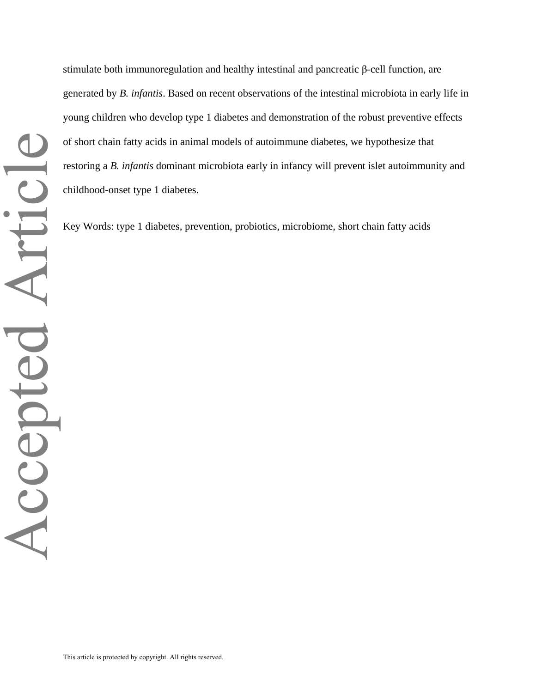stimulate both immunoregulation and healthy intestinal and pancreatic β-cell function, are generated by *B. infantis*. Based on recent observations of the intestinal microbiota in early life in young children who develop type 1 diabetes and demonstration of the robust preventive effects of short chain fatty acids in animal models of autoimmune diabetes, we hypothesize that restoring a *B. infantis* dominant microbiota early in infancy will prevent islet autoimmunity and childhood-onset type 1 diabetes.

Key Words: type 1 diabetes, prevention, probiotics, microbiome, short chain fatty acids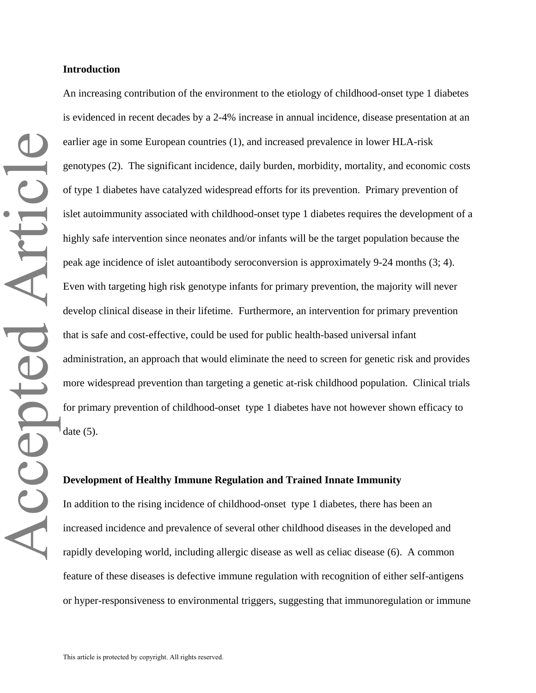An increasing contribution of the environment to the etiology of childhood-onset type 1 diabetes is evidenced in recent decades by a 2-4% increase in annual incidence, disease presentation at an earlier age in some European countries (1), and increased prevalence in lower HLA-risk genotypes (2). The significant incidence, daily burden, morbidity, mortality, and economic costs<br>of type 1 diabetes have catalyzed widespread efforts for its prevention. Primary prevention of<br>islet autoimmunity associated of type 1 diabetes have catalyzed widespread efforts for its prevention. Primary prevention of islet autoimmunity associated with childhood-onset type 1 diabetes requires the development of a highly safe intervention since neonates and/or infants will be the target population because the peak age incidence of islet autoantibody seroconversion is approximately 9-24 months (3; 4). Even with targeting high risk genotype infants for primary prevention, the majority will never develop clinical disease in their lifetime. Furthermore, an intervention for primary prevention that is safe and cost-effective, could be used for public health-based universal infant administration, an approach that would eliminate the need to screen for genetic risk and provides more widespread prevention than targeting a genetic at-risk childhood population. Clinical trials for primary prevention of childhood-onset type 1 diabetes have not however shown efficacy to date  $(5)$ .

#### **Development of Healthy Immune Regulation and Trained Innate Immunity**

In addition to the rising incidence of childhood-onset type 1 diabetes, there has been an increased incidence and prevalence of several other childhood diseases in the developed and rapidly developing world, including allergic disease as well as celiac disease (6). A common feature of these diseases is defective immune regulation with recognition of either self-antigens or hyper-responsiveness to environmental triggers, suggesting that immunoregulation or immune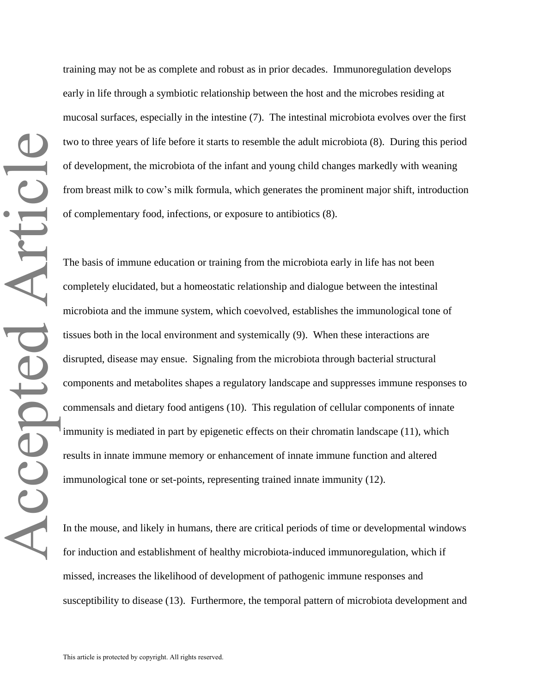training may not be as complete and robust as in prior decades. Immunoregulation develops early in life through a symbiotic relationship between the host and the microbes residing at mucosal surfaces, especially in the intestine (7). The intestinal microbiota evolves over the first two to three years of life before it starts to resemble the adult microbiota (8). During this period of development, the microbiota of the infant and young child changes markedly with weaning from breast milk to cow's milk formula, which generates the prominent major shift, introduction of complementary food, infections, or exposure to antibiotics (8).

The basis of immune education or training from the microbiota early in life has not been completely elucidated, but a homeostatic relationship and dialogue between the intestinal microbiota and the immune system, which coevolved, establishes the immunological tone of tissues both in the local environment and systemically (9). When these interactions are disrupted, disease may ensue. Signaling from the microbiota through bacterial structural components and metabolites shapes a regulatory landscape and suppresses immune responses to commensals and dietary food antigens (10). This regulation of cellular components of innate immunity is mediated in part by epigenetic effects on their chromatin landscape (11), which results in innate immune memory or enhancement of innate immune function and altered immunological tone or set-points, representing trained innate immunity (12).

In the mouse, and likely in humans, there are critical periods of time or developmental windows for induction and establishment of healthy microbiota-induced immunoregulation, which if missed, increases the likelihood of development of pathogenic immune responses and susceptibility to disease (13). Furthermore, the temporal pattern of microbiota development and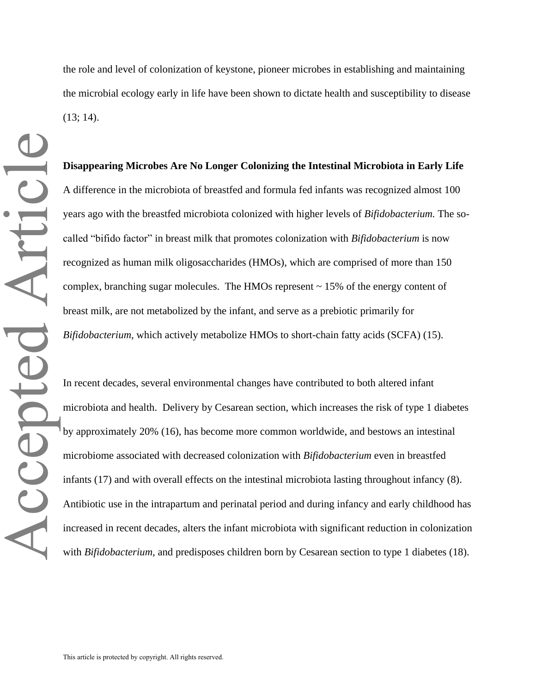the role and level of colonization of keystone, pioneer microbes in establishing and maintaining the microbial ecology early in life have been shown to dictate health and susceptibility to disease  $(13; 14)$ .

**Disappearing Microbes Are No Longer Colonizing the Intestinal Microbiota in Early Life**  A difference in the microbiota of breastfed and formula fed infants was recognized almost 100 years ago with the breastfed microbiota colonized with higher levels of *Bifidobacterium.* The socalled "bifido factor" in breast milk that promotes colonization with *Bifidobacterium* is now recognized as human milk oligosaccharides (HMOs), which are comprised of more than 150 complex, branching sugar molecules. The HMOs represent  $\sim$  15% of the energy content of breast milk, are not metabolized by the infant, and serve as a prebiotic primarily for *Bifidobacterium*, which actively metabolize HMOs to short-chain fatty acids (SCFA) (15).

In recent decades, several environmental changes have contributed to both altered infant microbiota and health. Delivery by Cesarean section, which increases the risk of type 1 diabetes by approximately 20% (16), has become more common worldwide, and bestows an intestinal microbiome associated with decreased colonization with *Bifidobacterium* even in breastfed infants (17) and with overall effects on the intestinal microbiota lasting throughout infancy (8). Antibiotic use in the intrapartum and perinatal period and during infancy and early childhood has increased in recent decades, alters the infant microbiota with significant reduction in colonization with *Bifidobacterium*, and predisposes children born by Cesarean section to type 1 diabetes (18).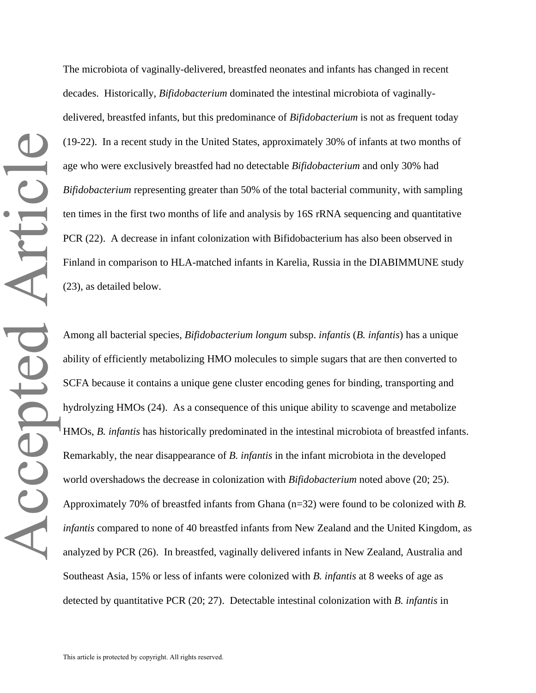The microbiota of vaginally-delivered, breastfed neonates and infants has changed in recent decades. Historically, *Bifidobacterium* dominated the intestinal microbiota of vaginallydelivered, breastfed infants, but this predominance of *Bifidobacterium* is not as frequent today (19-22). In a recent study in the United States, approximately 30% of infants at two months of age who were exclusively breastfed had no detectable *Bifidobacterium* and only 30% had *Bifidobacterium* representing greater than 50% of the total bacterial community, with sampling ten times in the first two months of life and analysis by 16S rRNA sequencing and quantitative PCR (22). A decrease in infant colonization with Bifidobacterium has also been observed in Finland in comparison to HLA-matched infants in Karelia, Russia in the DIABIMMUNE study (23), as detailed below.

Among all bacterial species, *Bifidobacterium longum* subsp. *infantis* (*B. infantis*) has a unique ability of efficiently metabolizing HMO molecules to simple sugars that are then converted to SCFA because it contains a unique gene cluster encoding genes for binding, transporting and hydrolyzing HMOs (24). As a consequence of this unique ability to scavenge and metabolize HMOs, *B. infantis* has historically predominated in the intestinal microbiota of breastfed infants. Remarkably, the near disappearance of *B. infantis* in the infant microbiota in the developed world overshadows the decrease in colonization with *Bifidobacterium* noted above (20; 25). Approximately 70% of breastfed infants from Ghana (n=32) were found to be colonized with *B. infantis* compared to none of 40 breastfed infants from New Zealand and the United Kingdom, as analyzed by PCR (26). In breastfed, vaginally delivered infants in New Zealand, Australia and Southeast Asia, 15% or less of infants were colonized with *B. infantis* at 8 weeks of age as detected by quantitative PCR (20; 27). Detectable intestinal colonization with *B. infantis* in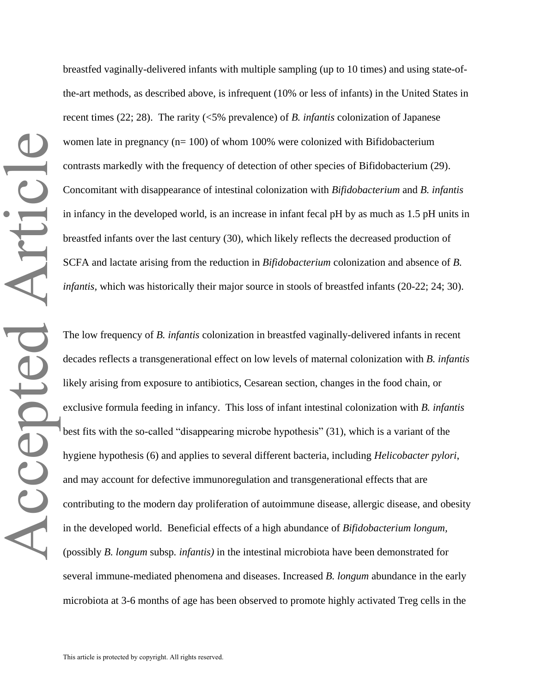breastfed vaginally-delivered infants with multiple sampling (up to 10 times) and using state-ofthe-art methods, as described above, is infrequent (10% or less of infants) in the United States in recent times (22; 28). The rarity (<5% prevalence) of *B. infantis* colonization of Japanese women late in pregnancy (n= 100) of whom 100% were colonized with Bifidobacterium contrasts markedly with the frequency of detection of other species of Bifidobacterium (29). Concomitant with disappearance of intestinal colonization with *Bifidobacterium* and *B. infantis* in infancy in the developed world, is an increase in infant fecal pH by as much as 1.5 pH units in breastfed infants over the last century (30), which likely reflects the decreased production of SCFA and lactate arising from the reduction in *Bifidobacterium* colonization and absence of *B. infantis,* which was historically their major source in stools of breastfed infants (20-22; 24; 30).

The low frequency of *B. infantis* colonization in breastfed vaginally-delivered infants in recent decades reflects a transgenerational effect on low levels of maternal colonization with *B. infantis* likely arising from exposure to antibiotics, Cesarean section, changes in the food chain, or exclusive formula feeding in infancy. This loss of infant intestinal colonization with *B. infantis* best fits with the so-called "disappearing microbe hypothesis" (31), which is a variant of the hygiene hypothesis (6) and applies to several different bacteria, including *Helicobacter pylori*, and may account for defective immunoregulation and transgenerational effects that are contributing to the modern day proliferation of autoimmune disease, allergic disease, and obesity in the developed world. Beneficial effects of a high abundance of *Bifidobacterium longum,*  (possibly *B. longum* subsp*. infantis)* in the intestinal microbiota have been demonstrated for several immune-mediated phenomena and diseases. Increased *B. longum* abundance in the early microbiota at 3-6 months of age has been observed to promote highly activated Treg cells in the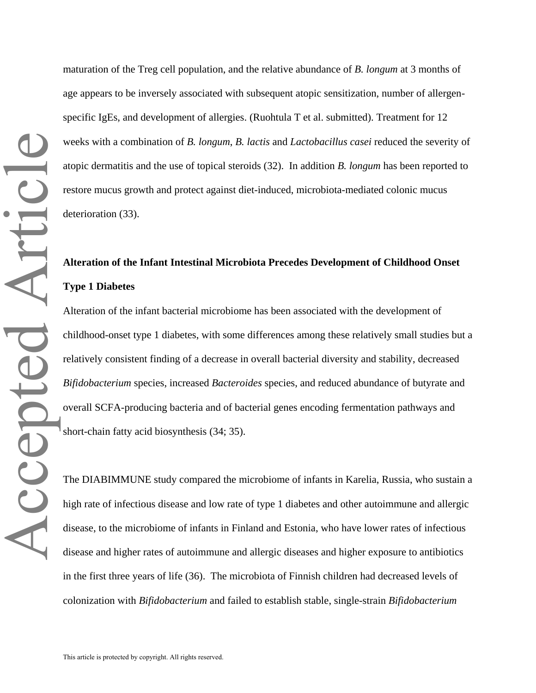maturation of the Treg cell population, and the relative abundance of *B. longum* at 3 months of age appears to be inversely associated with subsequent atopic sensitization, number of allergenspecific IgEs, and development of allergies. (Ruohtula T et al. submitted). Treatment for 12 weeks with a combination of *B. longum*, *B. lactis* and *Lactobacillus casei* reduced the severity of atopic dermatitis and the use of topical steroids (32). In addition *B. longum* has been reported to restore mucus growth and protect against diet-induced, microbiota-mediated colonic mucus deterioration (33).

# **Alteration of the Infant Intestinal Microbiota Precedes Development of Childhood Onset Type 1 Diabetes**

Alteration of the infant bacterial microbiome has been associated with the development of childhood-onset type 1 diabetes, with some differences among these relatively small studies but a relatively consistent finding of a decrease in overall bacterial diversity and stability, decreased *Bifidobacterium* species, increased *Bacteroides* species, and reduced abundance of butyrate and overall SCFA-producing bacteria and of bacterial genes encoding fermentation pathways and short-chain fatty acid biosynthesis (34; 35).

The DIABIMMUNE study compared the microbiome of infants in Karelia, Russia, who sustain a high rate of infectious disease and low rate of type 1 diabetes and other autoimmune and allergic disease, to the microbiome of infants in Finland and Estonia, who have lower rates of infectious disease and higher rates of autoimmune and allergic diseases and higher exposure to antibiotics in the first three years of life (36). The microbiota of Finnish children had decreased levels of colonization with *Bifidobacterium* and failed to establish stable, single-strain *Bifidobacterium*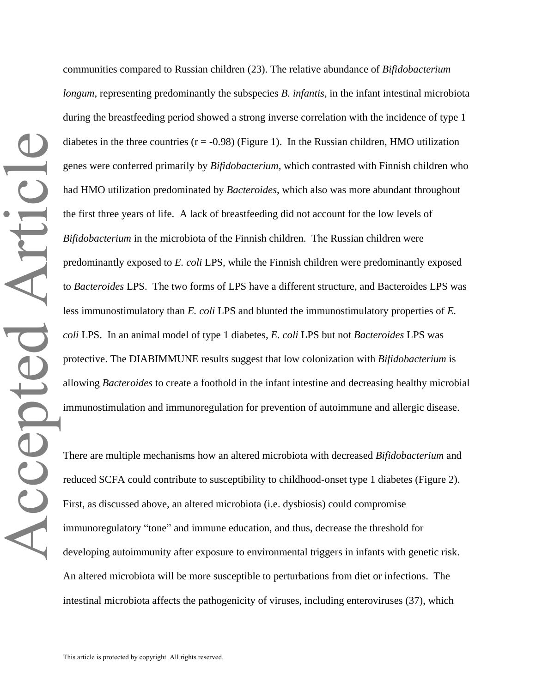communities compared to Russian children (23). The relative abundance of *Bifidobacterium longum*, representing predominantly the subspecies *B. infantis*, in the infant intestinal microbiota during the breastfeeding period showed a strong inverse correlation with the incidence of type 1 diabetes in the three countries  $(r = -0.98)$  (Figure 1). In the Russian children, HMO utilization genes were conferred primarily by *Bifidobacterium,* which contrasted with Finnish children who had HMO utilization predominated by *Bacteroides*, which also was more abundant throughout the first three years of life. A lack of breastfeeding did not account for the low levels of *Bifidobacterium* in the microbiota of the Finnish children. The Russian children were predominantly exposed to *E. coli* LPS, while the Finnish children were predominantly exposed to *Bacteroides* LPS. The two forms of LPS have a different structure, and Bacteroides LPS was less immunostimulatory than *E. coli* LPS and blunted the immunostimulatory properties of *E. coli* LPS. In an animal model of type 1 diabetes, *E. coli* LPS but not *Bacteroides* LPS was protective. The DIABIMMUNE results suggest that low colonization with *Bifidobacterium* is allowing *Bacteroides* to create a foothold in the infant intestine and decreasing healthy microbial immunostimulation and immunoregulation for prevention of autoimmune and allergic disease.

There are multiple mechanisms how an altered microbiota with decreased *Bifidobacterium* and reduced SCFA could contribute to susceptibility to childhood-onset type 1 diabetes (Figure 2). First, as discussed above, an altered microbiota (i.e. dysbiosis) could compromise immunoregulatory "tone" and immune education, and thus, decrease the threshold for developing autoimmunity after exposure to environmental triggers in infants with genetic risk. An altered microbiota will be more susceptible to perturbations from diet or infections. The intestinal microbiota affects the pathogenicity of viruses, including enteroviruses (37), which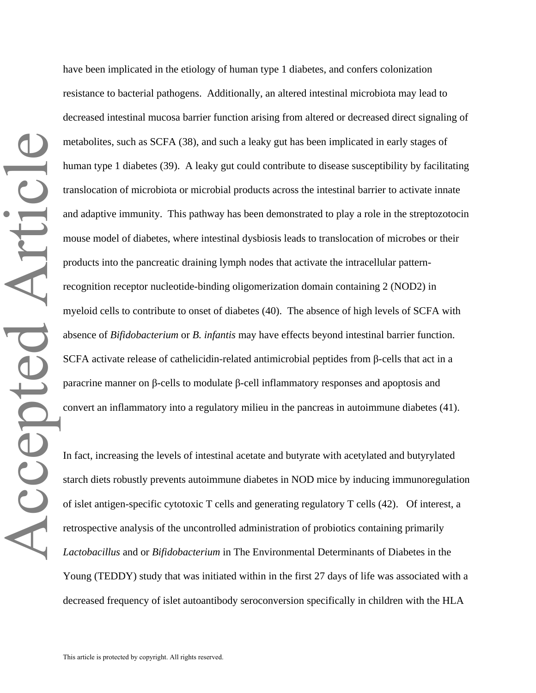have been implicated in the etiology of human type 1 diabetes, and confers colonization resistance to bacterial pathogens. Additionally, an altered intestinal microbiota may lead to decreased intestinal mucosa barrier function arising from altered or decreased direct signaling of metabolites, such as SCFA (38), and such a leaky gut has been implicated in early stages of human type 1 diabetes (39). A leaky gut could contribute to disease susceptibility by facilitating translocation of microbiota or microbial products across the intestinal barrier to activate innate and adaptive immunity. This pathway has been demonstrated to play a role in the streptozotocin mouse model of diabetes, where intestinal dysbiosis leads to translocation of microbes or their products into the pancreatic draining lymph nodes that activate the intracellular patternrecognition receptor nucleotide-binding oligomerization domain containing 2 (NOD2) in myeloid cells to contribute to onset of diabetes (40). The absence of high levels of SCFA with absence of *Bifidobacterium* or *B. infantis* may have effects beyond intestinal barrier function. SCFA activate release of cathelicidin-related antimicrobial peptides from β-cells that act in a paracrine manner on β-cells to modulate β-cell inflammatory responses and apoptosis and convert an inflammatory into a regulatory milieu in the pancreas in autoimmune diabetes (41).

In fact, increasing the levels of intestinal acetate and butyrate with acetylated and butyrylated starch diets robustly prevents autoimmune diabetes in NOD mice by inducing immunoregulation of islet antigen-specific cytotoxic T cells and generating regulatory T cells (42). Of interest, a retrospective analysis of the uncontrolled administration of probiotics containing primarily *Lactobacillus* and or *Bifidobacterium* in The Environmental Determinants of Diabetes in the Young (TEDDY) study that was initiated within in the first 27 days of life was associated with a decreased frequency of islet autoantibody seroconversion specifically in children with the HLA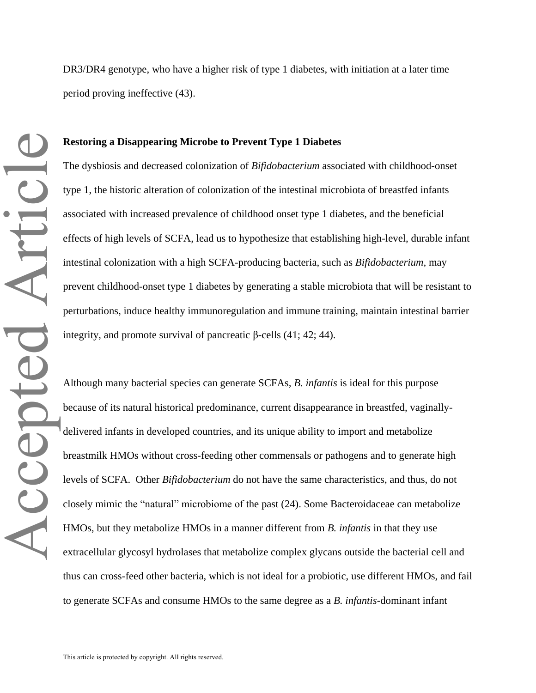DR3/DR4 genotype, who have a higher risk of type 1 diabetes, with initiation at a later time period proving ineffective (43).

#### **Restoring a Disappearing Microbe to Prevent Type 1 Diabetes**

The dysbiosis and decreased colonization of *Bifidobacterium* associated with childhood-onset type 1, the historic alteration of colonization of the intestinal microbiota of breastfed infants associated with increased prevalence of childhood onset type 1 diabetes, and the beneficial effects of high levels of SCFA, lead us to hypothesize that establishing high-level, durable infant intestinal colonization with a high SCFA-producing bacteria, such as *Bifidobacterium,* may prevent childhood-onset type 1 diabetes by generating a stable microbiota that will be resistant to perturbations, induce healthy immunoregulation and immune training, maintain intestinal barrier integrity, and promote survival of pancreatic β-cells  $(41; 42; 44)$ .

Although many bacterial species can generate SCFAs*, B. infantis* is ideal for this purpose because of its natural historical predominance, current disappearance in breastfed, vaginallydelivered infants in developed countries, and its unique ability to import and metabolize breastmilk HMOs without cross-feeding other commensals or pathogens and to generate high levels of SCFA. Other *Bifidobacterium* do not have the same characteristics, and thus, do not closely mimic the "natural" microbiome of the past (24). Some Bacteroidaceae can metabolize HMOs, but they metabolize HMOs in a manner different from *B. infantis* in that they use extracellular glycosyl hydrolases that metabolize complex glycans outside the bacterial cell and thus can cross-feed other bacteria, which is not ideal for a probiotic, use different HMOs, and fail to generate SCFAs and consume HMOs to the same degree as a *B. infantis*-dominant infant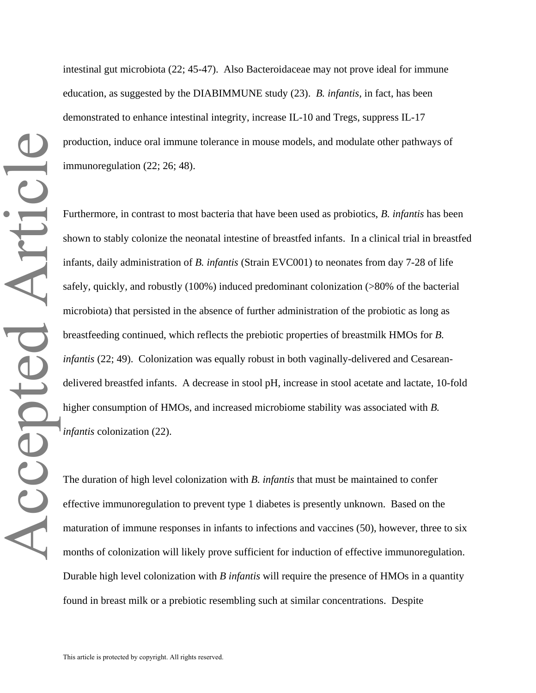intestinal gut microbiota (22; 45-47). Also Bacteroidaceae may not prove ideal for immune education, as suggested by the DIABIMMUNE study (23). *B. infantis,* in fact, has been demonstrated to enhance intestinal integrity, increase IL-10 and Tregs, suppress IL-17 production, induce oral immune tolerance in mouse models, and modulate other pathways of immunoregulation (22; 26; 48).

Furthermore, in contrast to most bacteria that have been used as probiotics, *B. infantis* has been shown to stably colonize the neonatal intestine of breastfed infants. In a clinical trial in breastfed infants, daily administration of *B. infantis* (Strain EVC001) to neonates from day 7-28 of life safely, quickly, and robustly (100%) induced predominant colonization (>80% of the bacterial microbiota) that persisted in the absence of further administration of the probiotic as long as breastfeeding continued, which reflects the prebiotic properties of breastmilk HMOs for *B. infantis* (22; 49). Colonization was equally robust in both vaginally-delivered and Cesareandelivered breastfed infants. A decrease in stool pH, increase in stool acetate and lactate, 10-fold higher consumption of HMOs, and increased microbiome stability was associated with *B. infantis* colonization (22).

The duration of high level colonization with *B. infantis* that must be maintained to confer effective immunoregulation to prevent type 1 diabetes is presently unknown. Based on the maturation of immune responses in infants to infections and vaccines (50), however, three to six months of colonization will likely prove sufficient for induction of effective immunoregulation. Durable high level colonization with *B infantis* will require the presence of HMOs in a quantity found in breast milk or a prebiotic resembling such at similar concentrations. Despite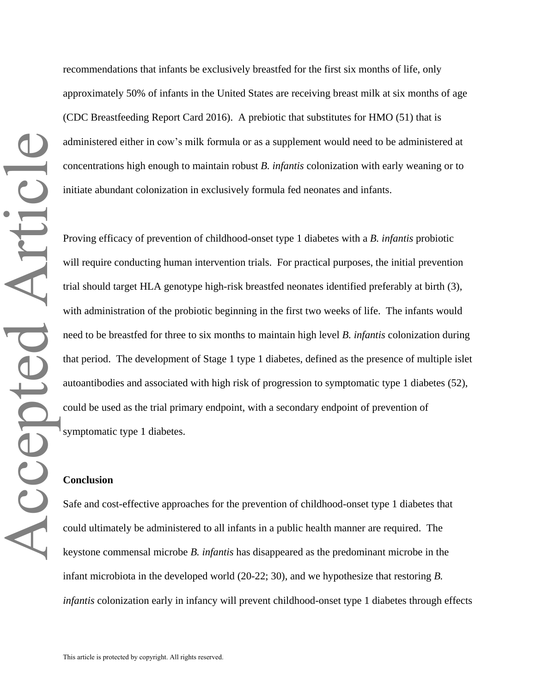recommendations that infants be exclusively breastfed for the first six months of life, only approximately 50% of infants in the United States are receiving breast milk at six months of age (CDC Breastfeeding Report Card 2016). A prebiotic that substitutes for HMO (51) that is administered either in cow's milk formula or as a supplement would need to be administered at concentrations high enough to maintain robust *B. infantis* colonization with early weaning or to initiate abundant colonization in exclusively formula fed neonates and infants.

Proving efficacy of prevention of childhood-onset type 1 diabetes with a *B. infantis* probiotic will require conducting human intervention trials. For practical purposes, the initial prevention trial should target HLA genotype high-risk breastfed neonates identified preferably at birth (3), with administration of the probiotic beginning in the first two weeks of life. The infants would need to be breastfed for three to six months to maintain high level *B. infantis* colonization during that period. The development of Stage 1 type 1 diabetes, defined as the presence of multiple islet autoantibodies and associated with high risk of progression to symptomatic type 1 diabetes (52), could be used as the trial primary endpoint, with a secondary endpoint of prevention of symptomatic type 1 diabetes.

#### **Conclusion**

Safe and cost-effective approaches for the prevention of childhood-onset type 1 diabetes that could ultimately be administered to all infants in a public health manner are required. The keystone commensal microbe *B. infantis* has disappeared as the predominant microbe in the infant microbiota in the developed world (20-22; 30), and we hypothesize that restoring *B. infantis* colonization early in infancy will prevent childhood-onset type 1 diabetes through effects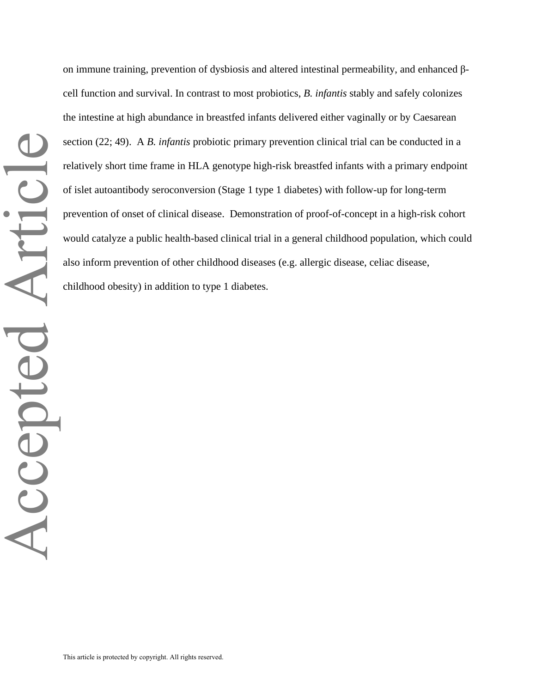on immune training, prevention of dysbiosis and altered intestinal permeability, and enhanced βcell function and survival. In contrast to most probiotics, *B. infantis* stably and safely colonizes the intestine at high abundance in breastfed infants delivered either vaginally or by Caesarean section (22; 49). A *B. infantis* probiotic primary prevention clinical trial can be conducted in a relatively short time frame in HLA genotype high-risk breastfed infants with a primary endpoint of islet autoantibody seroconversion (Stage 1 type 1 diabetes) with follow-up for long-term prevention of onset of clinical disease. Demonstration of proof-of-concept in a high-risk cohort would catalyze a public health-based clinical trial in a general childhood population, which could also inform prevention of other childhood diseases (e.g. allergic disease, celiac disease, childhood obesity) in addition to type 1 diabetes.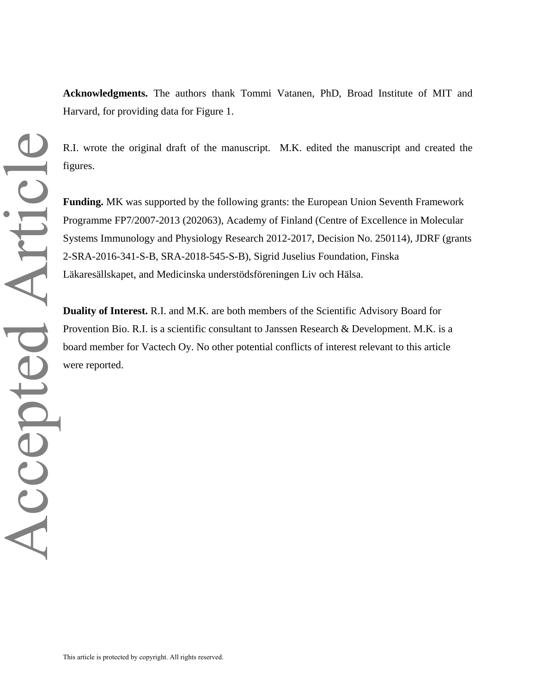**Acknowledgments.** The authors thank Tommi Vatanen, PhD, Broad Institute of MIT and Harvard, for providing data for Figure 1.

R.I. wrote the original draft of the manuscript. M.K. edited the manuscript and created the figures.

**Funding.** MK was supported by the following grants: the European Union Seventh Framework Programme FP7/2007-2013 (202063), Academy of Finland (Centre of Excellence in Molecular Systems Immunology and Physiology Research 2012-2017, Decision No. 250114), JDRF (grants 2-SRA-2016-341-S-B, SRA-2018-545-S-B), Sigrid Juselius Foundation, Finska Läkaresällskapet, and Medicinska understödsföreningen Liv och Hälsa.

**Duality of Interest.** R.I. and M.K. are both members of the Scientific Advisory Board for Provention Bio. R.I. is a scientific consultant to Janssen Research & Development. M.K. is a board member for Vactech Oy. No other potential conflicts of interest relevant to this article were reported.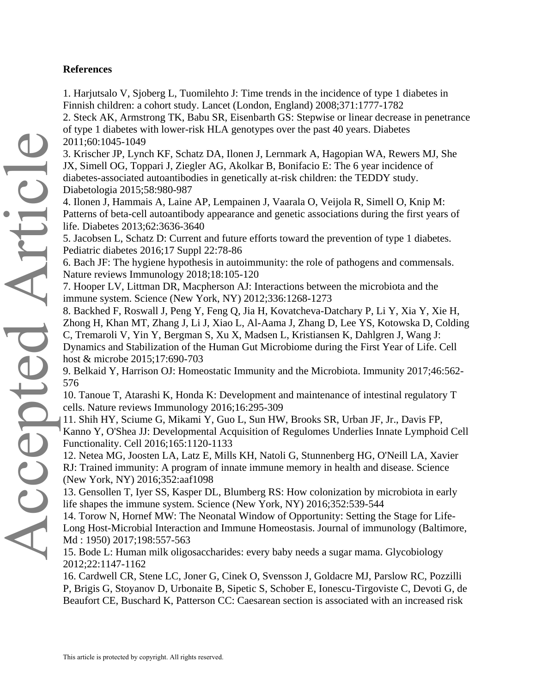### **References**

1. Harjutsalo V, Sjoberg L, Tuomilehto J: Time trends in the incidence of type 1 diabetes in Finnish children: a cohort study. Lancet (London, England) 2008;371:1777-1782

2. Steck AK, Armstrong TK, Babu SR, Eisenbarth GS: Stepwise or linear decrease in penetrance of type 1 diabetes with lower-risk HLA genotypes over the past 40 years. Diabetes 2011;60:1045-1049

3. Krischer JP, Lynch KF, Schatz DA, Ilonen J, Lernmark A, Hagopian WA, Rewers MJ, She JX, Simell OG, Toppari J, Ziegler AG, Akolkar B, Bonifacio E: The 6 year incidence of diabetes-associated autoantibodies in genetically at-risk children: the TEDDY study. Diabetologia 2015;58:980-987

4. Ilonen J, Hammais A, Laine AP, Lempainen J, Vaarala O, Veijola R, Simell O, Knip M: Patterns of beta-cell autoantibody appearance and genetic associations during the first years of life. Diabetes 2013;62:3636-3640

5. Jacobsen L, Schatz D: Current and future efforts toward the prevention of type 1 diabetes. Pediatric diabetes 2016;17 Suppl 22:78-86

6. Bach JF: The hygiene hypothesis in autoimmunity: the role of pathogens and commensals. Nature reviews Immunology 2018;18:105-120

7. Hooper LV, Littman DR, Macpherson AJ: Interactions between the microbiota and the immune system. Science (New York, NY) 2012;336:1268-1273

8. Backhed F, Roswall J, Peng Y, Feng Q, Jia H, Kovatcheva-Datchary P, Li Y, Xia Y, Xie H, Zhong H, Khan MT, Zhang J, Li J, Xiao L, Al-Aama J, Zhang D, Lee YS, Kotowska D, Colding C, Tremaroli V, Yin Y, Bergman S, Xu X, Madsen L, Kristiansen K, Dahlgren J, Wang J: Dynamics and Stabilization of the Human Gut Microbiome during the First Year of Life. Cell host & microbe 2015;17:690-703

9. Belkaid Y, Harrison OJ: Homeostatic Immunity and the Microbiota. Immunity 2017;46:562- 576

10. Tanoue T, Atarashi K, Honda K: Development and maintenance of intestinal regulatory T cells. Nature reviews Immunology 2016;16:295-309

11. Shih HY, Sciume G, Mikami Y, Guo L, Sun HW, Brooks SR, Urban JF, Jr., Davis FP, Kanno Y, O'Shea JJ: Developmental Acquisition of Regulomes Underlies Innate Lymphoid Cell Functionality. Cell 2016;165:1120-1133

12. Netea MG, Joosten LA, Latz E, Mills KH, Natoli G, Stunnenberg HG, O'Neill LA, Xavier RJ: Trained immunity: A program of innate immune memory in health and disease. Science (New York, NY) 2016;352:aaf1098

13. Gensollen T, Iyer SS, Kasper DL, Blumberg RS: How colonization by microbiota in early life shapes the immune system. Science (New York, NY) 2016;352:539-544

14. Torow N, Hornef MW: The Neonatal Window of Opportunity: Setting the Stage for Life-Long Host-Microbial Interaction and Immune Homeostasis. Journal of immunology (Baltimore, Md : 1950) 2017;198:557-563

15. Bode L: Human milk oligosaccharides: every baby needs a sugar mama. Glycobiology 2012;22:1147-1162

16. Cardwell CR, Stene LC, Joner G, Cinek O, Svensson J, Goldacre MJ, Parslow RC, Pozzilli P, Brigis G, Stoyanov D, Urbonaite B, Sipetic S, Schober E, Ionescu-Tirgoviste C, Devoti G, de Beaufort CE, Buschard K, Patterson CC: Caesarean section is associated with an increased risk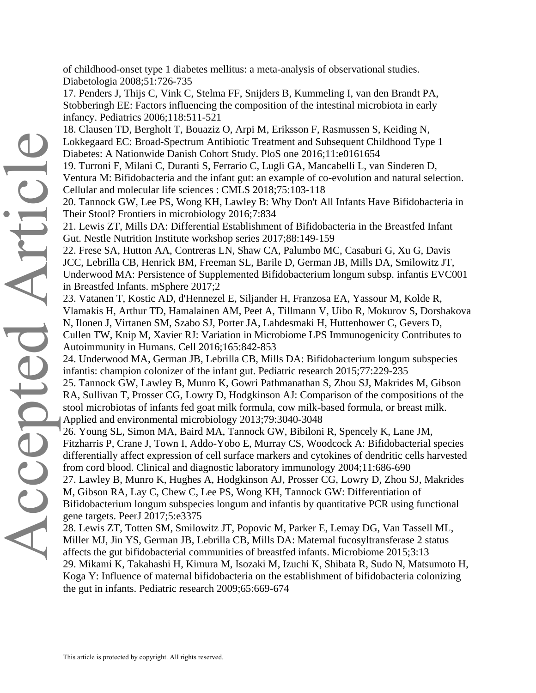of childhood-onset type 1 diabetes mellitus: a meta-analysis of observational studies. Diabetologia 2008;51:726-735

17. Penders J, Thijs C, Vink C, Stelma FF, Snijders B, Kummeling I, van den Brandt PA, Stobberingh EE: Factors influencing the composition of the intestinal microbiota in early infancy. Pediatrics 2006;118:511-521

18. Clausen TD, Bergholt T, Bouaziz O, Arpi M, Eriksson F, Rasmussen S, Keiding N, Lokkegaard EC: Broad-Spectrum Antibiotic Treatment and Subsequent Childhood Type 1 Diabetes: A Nationwide Danish Cohort Study. PloS one 2016;11:e0161654

19. Turroni F, Milani C, Duranti S, Ferrario C, Lugli GA, Mancabelli L, van Sinderen D, Ventura M: Bifidobacteria and the infant gut: an example of co-evolution and natural selection. Cellular and molecular life sciences : CMLS 2018;75:103-118

20. Tannock GW, Lee PS, Wong KH, Lawley B: Why Don't All Infants Have Bifidobacteria in Their Stool? Frontiers in microbiology 2016;7:834

21. Lewis ZT, Mills DA: Differential Establishment of Bifidobacteria in the Breastfed Infant Gut. Nestle Nutrition Institute workshop series 2017;88:149-159

22. Frese SA, Hutton AA, Contreras LN, Shaw CA, Palumbo MC, Casaburi G, Xu G, Davis JCC, Lebrilla CB, Henrick BM, Freeman SL, Barile D, German JB, Mills DA, Smilowitz JT, Underwood MA: Persistence of Supplemented Bifidobacterium longum subsp. infantis EVC001 in Breastfed Infants. mSphere 2017;2

23. Vatanen T, Kostic AD, d'Hennezel E, Siljander H, Franzosa EA, Yassour M, Kolde R, Vlamakis H, Arthur TD, Hamalainen AM, Peet A, Tillmann V, Uibo R, Mokurov S, Dorshakova N, Ilonen J, Virtanen SM, Szabo SJ, Porter JA, Lahdesmaki H, Huttenhower C, Gevers D, Cullen TW, Knip M, Xavier RJ: Variation in Microbiome LPS Immunogenicity Contributes to Autoimmunity in Humans. Cell 2016;165:842-853

24. Underwood MA, German JB, Lebrilla CB, Mills DA: Bifidobacterium longum subspecies infantis: champion colonizer of the infant gut. Pediatric research 2015;77:229-235

25. Tannock GW, Lawley B, Munro K, Gowri Pathmanathan S, Zhou SJ, Makrides M, Gibson RA, Sullivan T, Prosser CG, Lowry D, Hodgkinson AJ: Comparison of the compositions of the stool microbiotas of infants fed goat milk formula, cow milk-based formula, or breast milk. Applied and environmental microbiology 2013;79:3040-3048

26. Young SL, Simon MA, Baird MA, Tannock GW, Bibiloni R, Spencely K, Lane JM, Fitzharris P, Crane J, Town I, Addo-Yobo E, Murray CS, Woodcock A: Bifidobacterial species differentially affect expression of cell surface markers and cytokines of dendritic cells harvested from cord blood. Clinical and diagnostic laboratory immunology 2004;11:686-690

27. Lawley B, Munro K, Hughes A, Hodgkinson AJ, Prosser CG, Lowry D, Zhou SJ, Makrides M, Gibson RA, Lay C, Chew C, Lee PS, Wong KH, Tannock GW: Differentiation of Bifidobacterium longum subspecies longum and infantis by quantitative PCR using functional gene targets. PeerJ 2017;5:e3375

28. Lewis ZT, Totten SM, Smilowitz JT, Popovic M, Parker E, Lemay DG, Van Tassell ML, Miller MJ, Jin YS, German JB, Lebrilla CB, Mills DA: Maternal fucosyltransferase 2 status affects the gut bifidobacterial communities of breastfed infants. Microbiome 2015;3:13 29. Mikami K, Takahashi H, Kimura M, Isozaki M, Izuchi K, Shibata R, Sudo N, Matsumoto H, Koga Y: Influence of maternal bifidobacteria on the establishment of bifidobacteria colonizing the gut in infants. Pediatric research 2009;65:669-674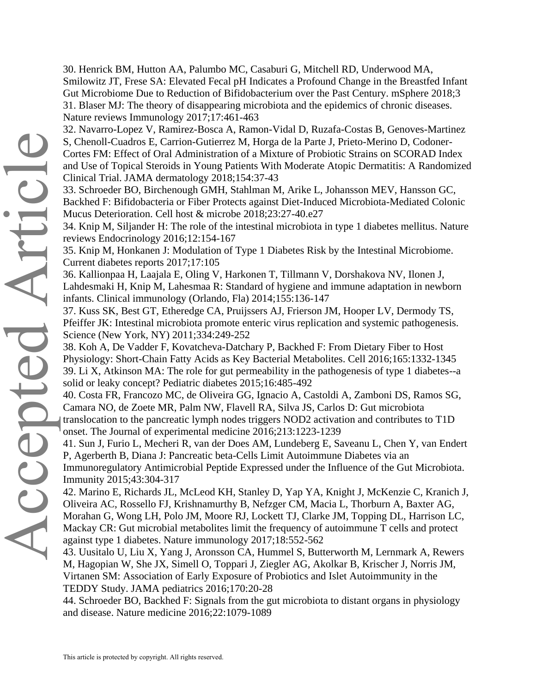30. Henrick BM, Hutton AA, Palumbo MC, Casaburi G, Mitchell RD, Underwood MA, Smilowitz JT, Frese SA: Elevated Fecal pH Indicates a Profound Change in the Breastfed Infant Gut Microbiome Due to Reduction of Bifidobacterium over the Past Century. mSphere 2018;3 31. Blaser MJ: The theory of disappearing microbiota and the epidemics of chronic diseases. Nature reviews Immunology 2017;17:461-463

32. Navarro-Lopez V, Ramirez-Bosca A, Ramon-Vidal D, Ruzafa-Costas B, Genoves-Martinez S, Chenoll-Cuadros E, Carrion-Gutierrez M, Horga de la Parte J, Prieto-Merino D, Codoner-Cortes FM: Effect of Oral Administration of a Mixture of Probiotic Strains on SCORAD Index and Use of Topical Steroids in Young Patients With Moderate Atopic Dermatitis: A Randomized Clinical Trial. JAMA dermatology 2018;154:37-43

33. Schroeder BO, Birchenough GMH, Stahlman M, Arike L, Johansson MEV, Hansson GC, Backhed F: Bifidobacteria or Fiber Protects against Diet-Induced Microbiota-Mediated Colonic Mucus Deterioration. Cell host & microbe 2018;23:27-40.e27

34. Knip M, Siljander H: The role of the intestinal microbiota in type 1 diabetes mellitus. Nature reviews Endocrinology 2016;12:154-167

35. Knip M, Honkanen J: Modulation of Type 1 Diabetes Risk by the Intestinal Microbiome. Current diabetes reports 2017;17:105

36. Kallionpaa H, Laajala E, Oling V, Harkonen T, Tillmann V, Dorshakova NV, Ilonen J, Lahdesmaki H, Knip M, Lahesmaa R: Standard of hygiene and immune adaptation in newborn infants. Clinical immunology (Orlando, Fla) 2014;155:136-147

37. Kuss SK, Best GT, Etheredge CA, Pruijssers AJ, Frierson JM, Hooper LV, Dermody TS, Pfeiffer JK: Intestinal microbiota promote enteric virus replication and systemic pathogenesis. Science (New York, NY) 2011;334:249-252

38. Koh A, De Vadder F, Kovatcheva-Datchary P, Backhed F: From Dietary Fiber to Host Physiology: Short-Chain Fatty Acids as Key Bacterial Metabolites. Cell 2016;165:1332-1345 39. Li X, Atkinson MA: The role for gut permeability in the pathogenesis of type 1 diabetes--a solid or leaky concept? Pediatric diabetes 2015;16:485-492

40. Costa FR, Francozo MC, de Oliveira GG, Ignacio A, Castoldi A, Zamboni DS, Ramos SG, Camara NO, de Zoete MR, Palm NW, Flavell RA, Silva JS, Carlos D: Gut microbiota translocation to the pancreatic lymph nodes triggers NOD2 activation and contributes to T1D onset. The Journal of experimental medicine 2016;213:1223-1239

41. Sun J, Furio L, Mecheri R, van der Does AM, Lundeberg E, Saveanu L, Chen Y, van Endert P, Agerberth B, Diana J: Pancreatic beta-Cells Limit Autoimmune Diabetes via an Immunoregulatory Antimicrobial Peptide Expressed under the Influence of the Gut Microbiota. Immunity 2015;43:304-317

42. Marino E, Richards JL, McLeod KH, Stanley D, Yap YA, Knight J, McKenzie C, Kranich J, Oliveira AC, Rossello FJ, Krishnamurthy B, Nefzger CM, Macia L, Thorburn A, Baxter AG, Morahan G, Wong LH, Polo JM, Moore RJ, Lockett TJ, Clarke JM, Topping DL, Harrison LC, Mackay CR: Gut microbial metabolites limit the frequency of autoimmune T cells and protect against type 1 diabetes. Nature immunology 2017;18:552-562

43. Uusitalo U, Liu X, Yang J, Aronsson CA, Hummel S, Butterworth M, Lernmark A, Rewers M, Hagopian W, She JX, Simell O, Toppari J, Ziegler AG, Akolkar B, Krischer J, Norris JM, Virtanen SM: Association of Early Exposure of Probiotics and Islet Autoimmunity in the TEDDY Study. JAMA pediatrics 2016;170:20-28

44. Schroeder BO, Backhed F: Signals from the gut microbiota to distant organs in physiology and disease. Nature medicine 2016;22:1079-1089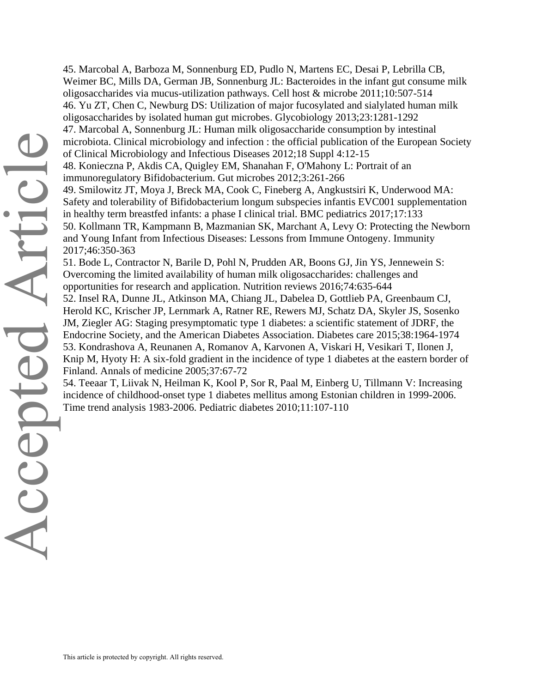45. Marcobal A, Barboza M, Sonnenburg ED, Pudlo N, Martens EC, Desai P, Lebrilla CB, Weimer BC, Mills DA, German JB, Sonnenburg JL: Bacteroides in the infant gut consume milk oligosaccharides via mucus-utilization pathways. Cell host & microbe 2011;10:507-514 46. Yu ZT, Chen C, Newburg DS: Utilization of major fucosylated and sialylated human milk oligosaccharides by isolated human gut microbes. Glycobiology 2013;23:1281-1292 47. Marcobal A, Sonnenburg JL: Human milk oligosaccharide consumption by intestinal microbiota. Clinical microbiology and infection : the official publication of the European Society of Clinical Microbiology and Infectious Diseases 2012;18 Suppl 4:12-15 48. Konieczna P, Akdis CA, Quigley EM, Shanahan F, O'Mahony L: Portrait of an immunoregulatory Bifidobacterium. Gut microbes 2012;3:261-266 49. Smilowitz JT, Moya J, Breck MA, Cook C, Fineberg A, Angkustsiri K, Underwood MA: Safety and tolerability of Bifidobacterium longum subspecies infantis EVC001 supplementation in healthy term breastfed infants: a phase I clinical trial. BMC pediatrics 2017;17:133 50. Kollmann TR, Kampmann B, Mazmanian SK, Marchant A, Levy O: Protecting the Newborn and Young Infant from Infectious Diseases: Lessons from Immune Ontogeny. Immunity 2017;46:350-363 51. Bode L, Contractor N, Barile D, Pohl N, Prudden AR, Boons GJ, Jin YS, Jennewein S: Overcoming the limited availability of human milk oligosaccharides: challenges and opportunities for research and application. Nutrition reviews 2016;74:635-644 52. Insel RA, Dunne JL, Atkinson MA, Chiang JL, Dabelea D, Gottlieb PA, Greenbaum CJ, Herold KC, Krischer JP, Lernmark A, Ratner RE, Rewers MJ, Schatz DA, Skyler JS, Sosenko

JM, Ziegler AG: Staging presymptomatic type 1 diabetes: a scientific statement of JDRF, the Endocrine Society, and the American Diabetes Association. Diabetes care 2015;38:1964-1974 53. Kondrashova A, Reunanen A, Romanov A, Karvonen A, Viskari H, Vesikari T, Ilonen J, Knip M, Hyoty H: A six-fold gradient in the incidence of type 1 diabetes at the eastern border of Finland. Annals of medicine 2005;37:67-72

54. Teeaar T, Liivak N, Heilman K, Kool P, Sor R, Paal M, Einberg U, Tillmann V: Increasing incidence of childhood-onset type 1 diabetes mellitus among Estonian children in 1999-2006. Time trend analysis 1983-2006. Pediatric diabetes 2010;11:107-110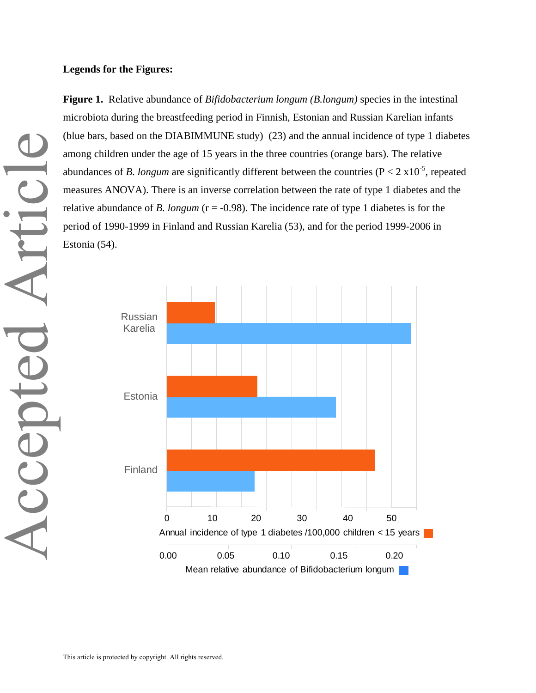#### **Legends for the Figures:**

**Figure 1.** Relative abundance of *Bifidobacterium longum (B.longum)* species in the intestinal microbiota during the breastfeeding period in Finnish, Estonian and Russian Karelian infants (blue bars, based on the DIABIMMUNE study) (23) and the annual incidence of type 1 diabetes among children under the age of 15 years in the three countries (orange bars). The relative abundances of *B. longum* are significantly different between the countries ( $P < 2 \times 10^{-5}$ , repeated measures ANOVA). There is an inverse correlation between the rate of type 1 diabetes and the relative abundance of *B. longum* (r = -0.98). The incidence rate of type 1 diabetes is for the period of 1990-1999 in Finland and Russian Karelia (53), and for the period 1999-2006 in Estonia (54).